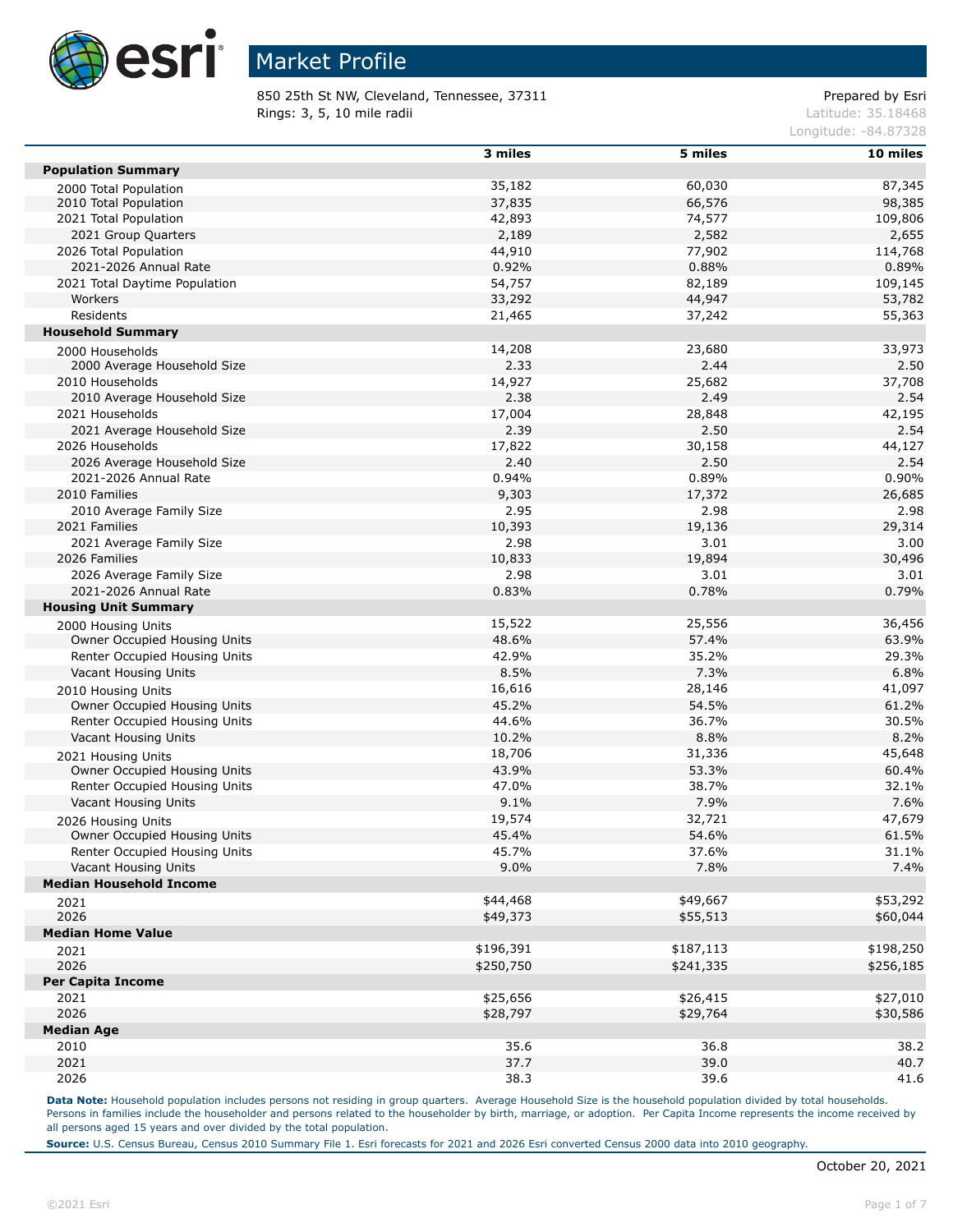

850 25th St NW, Cleveland, Tennessee, 37311 extending the prepared by Esri **Rings: 3, 5, 10 mile radii**  $\blacksquare$  **Rings: 3, 5, 10 mile radii**  $\blacksquare$ 

Longitude: -84.87328

|                                                               | 3 miles   | 5 miles   | 10 miles  |
|---------------------------------------------------------------|-----------|-----------|-----------|
| <b>Population Summary</b>                                     |           |           |           |
| 2000 Total Population                                         | 35,182    | 60,030    | 87,345    |
| 2010 Total Population                                         | 37,835    | 66,576    | 98,385    |
| 2021 Total Population                                         | 42,893    | 74,577    | 109,806   |
| 2021 Group Quarters                                           | 2,189     | 2,582     | 2,655     |
| 2026 Total Population                                         | 44,910    | 77,902    | 114,768   |
| 2021-2026 Annual Rate                                         | 0.92%     | 0.88%     | 0.89%     |
| 2021 Total Daytime Population                                 | 54,757    | 82,189    | 109,145   |
| Workers                                                       | 33,292    | 44,947    | 53,782    |
| Residents                                                     | 21,465    | 37,242    | 55,363    |
| <b>Household Summary</b>                                      |           |           |           |
| 2000 Households                                               | 14,208    | 23,680    | 33,973    |
| 2000 Average Household Size                                   | 2.33      | 2.44      | 2.50      |
| 2010 Households                                               | 14,927    | 25,682    | 37,708    |
| 2010 Average Household Size                                   | 2.38      | 2.49      | 2.54      |
| 2021 Households                                               | 17,004    | 28,848    | 42,195    |
| 2021 Average Household Size                                   | 2.39      | 2.50      | 2.54      |
| 2026 Households                                               | 17,822    | 30,158    | 44,127    |
| 2026 Average Household Size                                   | 2.40      | 2.50      | 2.54      |
| 2021-2026 Annual Rate                                         | 0.94%     | 0.89%     | 0.90%     |
| 2010 Families                                                 | 9,303     | 17,372    | 26,685    |
| 2010 Average Family Size                                      | 2.95      | 2.98      | 2.98      |
| 2021 Families                                                 | 10,393    | 19,136    | 29,314    |
| 2021 Average Family Size                                      | 2.98      | 3.01      | 3.00      |
| 2026 Families                                                 | 10,833    | 19,894    | 30,496    |
| 2026 Average Family Size                                      | 2.98      | 3.01      | 3.01      |
| 2021-2026 Annual Rate                                         | 0.83%     | 0.78%     | 0.79%     |
| <b>Housing Unit Summary</b>                                   |           |           |           |
| 2000 Housing Units                                            | 15,522    | 25,556    | 36,456    |
| Owner Occupied Housing Units                                  | 48.6%     | 57.4%     | 63.9%     |
| Renter Occupied Housing Units                                 | 42.9%     | 35.2%     | 29.3%     |
| Vacant Housing Units                                          | 8.5%      | 7.3%      | 6.8%      |
|                                                               | 16,616    | 28,146    | 41,097    |
| 2010 Housing Units<br>Owner Occupied Housing Units            | 45.2%     | 54.5%     | 61.2%     |
| Renter Occupied Housing Units                                 | 44.6%     | 36.7%     | 30.5%     |
| Vacant Housing Units                                          | 10.2%     | 8.8%      | 8.2%      |
|                                                               | 18,706    | 31,336    | 45,648    |
| 2021 Housing Units<br>Owner Occupied Housing Units            | 43.9%     | 53.3%     | 60.4%     |
| Renter Occupied Housing Units                                 | 47.0%     | 38.7%     | 32.1%     |
| Vacant Housing Units                                          | 9.1%      | 7.9%      | 7.6%      |
|                                                               | 19,574    | 32,721    | 47,679    |
| 2026 Housing Units                                            | 45.4%     | 54.6%     | 61.5%     |
| Owner Occupied Housing Units<br>Renter Occupied Housing Units | 45.7%     | 37.6%     | 31.1%     |
| Vacant Housing Units                                          |           |           |           |
| <b>Median Household Income</b>                                | 9.0%      | 7.8%      | 7.4%      |
|                                                               | \$44,468  | \$49,667  | \$53,292  |
| 2021                                                          |           |           |           |
| 2026                                                          | \$49,373  | \$55,513  | \$60,044  |
| <b>Median Home Value</b>                                      |           |           |           |
| 2021                                                          | \$196,391 | \$187,113 | \$198,250 |
| 2026                                                          | \$250,750 | \$241,335 | \$256,185 |
| <b>Per Capita Income</b>                                      |           |           |           |
| 2021                                                          | \$25,656  | \$26,415  | \$27,010  |
| 2026                                                          | \$28,797  | \$29,764  | \$30,586  |
| <b>Median Age</b>                                             |           |           |           |
| 2010                                                          | 35.6      | 36.8      | 38.2      |
| 2021                                                          | 37.7      | 39.0      | 40.7      |
| 2026                                                          | 38.3      | 39.6      | 41.6      |

Data Note: Household population includes persons not residing in group quarters. Average Household Size is the household population divided by total households. Persons in families include the householder and persons related to the householder by birth, marriage, or adoption. Per Capita Income represents the income received by all persons aged 15 years and over divided by the total population.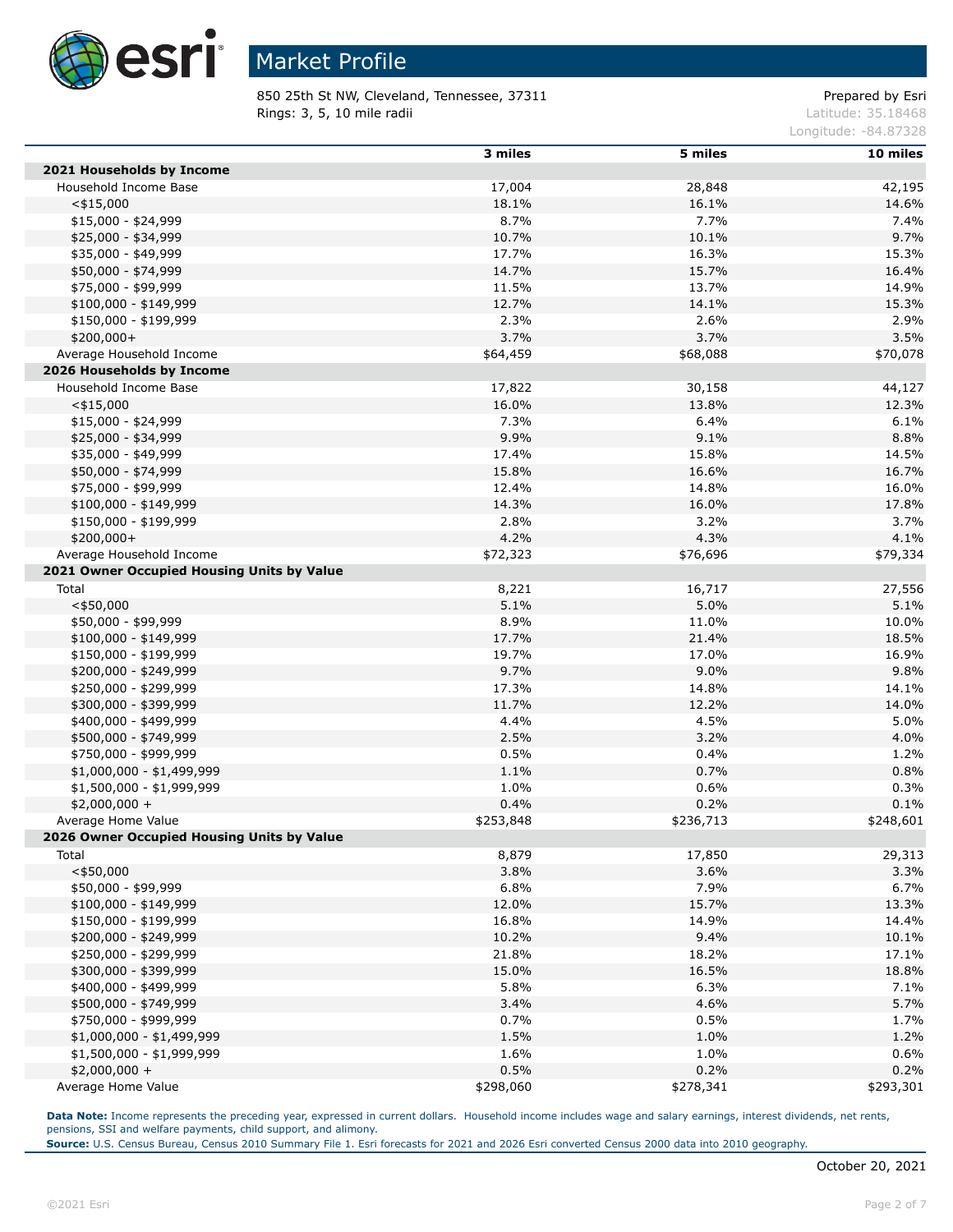

850 25th St NW, Cleveland, Tennessee, 37311 Prepared by Esri **Rings: 3, 5, 10 mile radii**  $\blacksquare$  **Rings: 3, 5, 10 mile radii**  $\blacksquare$ 

Longitude: -84.87328

|                                            | 3 miles   | 5 miles   | 10 miles  |
|--------------------------------------------|-----------|-----------|-----------|
| 2021 Households by Income                  |           |           |           |
| Household Income Base                      | 17,004    | 28,848    | 42,195    |
| $<$ \$15,000                               | 18.1%     | 16.1%     | 14.6%     |
| $$15,000 - $24,999$                        | 8.7%      | 7.7%      | 7.4%      |
| \$25,000 - \$34,999                        | 10.7%     | 10.1%     | 9.7%      |
| \$35,000 - \$49,999                        | 17.7%     | 16.3%     | 15.3%     |
| \$50,000 - \$74,999                        | 14.7%     | 15.7%     | 16.4%     |
| \$75,000 - \$99,999                        | 11.5%     | 13.7%     | 14.9%     |
| $$100,000 - $149,999$                      | 12.7%     | 14.1%     | 15.3%     |
| \$150,000 - \$199,999                      | 2.3%      | 2.6%      | 2.9%      |
| $$200,000+$                                | 3.7%      | 3.7%      | 3.5%      |
| Average Household Income                   | \$64,459  | \$68,088  | \$70,078  |
| 2026 Households by Income                  |           |           |           |
| Household Income Base                      | 17,822    | 30,158    | 44,127    |
| $<$ \$15,000                               | 16.0%     | 13.8%     | 12.3%     |
| $$15,000 - $24,999$                        | 7.3%      | 6.4%      | 6.1%      |
| \$25,000 - \$34,999                        | 9.9%      | 9.1%      | 8.8%      |
| \$35,000 - \$49,999                        | 17.4%     | 15.8%     | 14.5%     |
| \$50,000 - \$74,999                        | 15.8%     | 16.6%     | 16.7%     |
| \$75,000 - \$99,999                        | 12.4%     | 14.8%     | 16.0%     |
| $$100,000 - $149,999$                      | 14.3%     | 16.0%     | 17.8%     |
| \$150,000 - \$199,999                      | 2.8%      | 3.2%      | 3.7%      |
| $$200,000+$                                | 4.2%      | 4.3%      | 4.1%      |
| Average Household Income                   | \$72,323  | \$76,696  | \$79,334  |
| 2021 Owner Occupied Housing Units by Value |           |           |           |
| Total                                      | 8,221     | 16,717    | 27,556    |
| $<$ \$50,000                               | 5.1%      | 5.0%      | 5.1%      |
| \$50,000 - \$99,999                        | 8.9%      | 11.0%     | 10.0%     |
| \$100,000 - \$149,999                      | 17.7%     | 21.4%     | 18.5%     |
| \$150,000 - \$199,999                      | 19.7%     | 17.0%     | 16.9%     |
| \$200,000 - \$249,999                      | 9.7%      | 9.0%      | 9.8%      |
| \$250,000 - \$299,999                      | 17.3%     | 14.8%     | 14.1%     |
| \$300,000 - \$399,999                      | 11.7%     | 12.2%     | 14.0%     |
| \$400,000 - \$499,999                      | 4.4%      | 4.5%      | 5.0%      |
| \$500,000 - \$749,999                      | 2.5%      | 3.2%      | 4.0%      |
| \$750,000 - \$999,999                      | 0.5%      | 0.4%      | 1.2%      |
| \$1,000,000 - \$1,499,999                  | 1.1%      | 0.7%      | 0.8%      |
| \$1,500,000 - \$1,999,999                  | 1.0%      | 0.6%      | 0.3%      |
| $$2,000,000 +$                             | 0.4%      | 0.2%      | 0.1%      |
| Average Home Value                         | \$253,848 | \$236,713 | \$248,601 |
| 2026 Owner Occupied Housing Units by Value |           |           |           |
| Total                                      | 8,879     | 17,850    | 29,313    |
| $<$ \$50,000                               | 3.8%      | 3.6%      | 3.3%      |
| \$50,000 - \$99,999                        | 6.8%      | 7.9%      | 6.7%      |
| $$100,000 - $149,999$                      | 12.0%     | 15.7%     | 13.3%     |
| \$150,000 - \$199,999                      | 16.8%     | 14.9%     | 14.4%     |
| \$200,000 - \$249,999                      | 10.2%     | 9.4%      | 10.1%     |
| \$250,000 - \$299,999                      | 21.8%     | 18.2%     | 17.1%     |
| \$300,000 - \$399,999                      | 15.0%     | 16.5%     | 18.8%     |
| \$400,000 - \$499,999                      | 5.8%      | 6.3%      | 7.1%      |
| \$500,000 - \$749,999                      | 3.4%      | 4.6%      | 5.7%      |
| \$750,000 - \$999,999                      | 0.7%      | 0.5%      | 1.7%      |
| \$1,000,000 - \$1,499,999                  | 1.5%      | 1.0%      | 1.2%      |
| \$1,500,000 - \$1,999,999                  | 1.6%      | 1.0%      | 0.6%      |
| $$2,000,000 +$                             | 0.5%      | 0.2%      | 0.2%      |
| Average Home Value                         | \$298,060 | \$278,341 | \$293,301 |

Data Note: Income represents the preceding year, expressed in current dollars. Household income includes wage and salary earnings, interest dividends, net rents, pensions, SSI and welfare payments, child support, and alimony.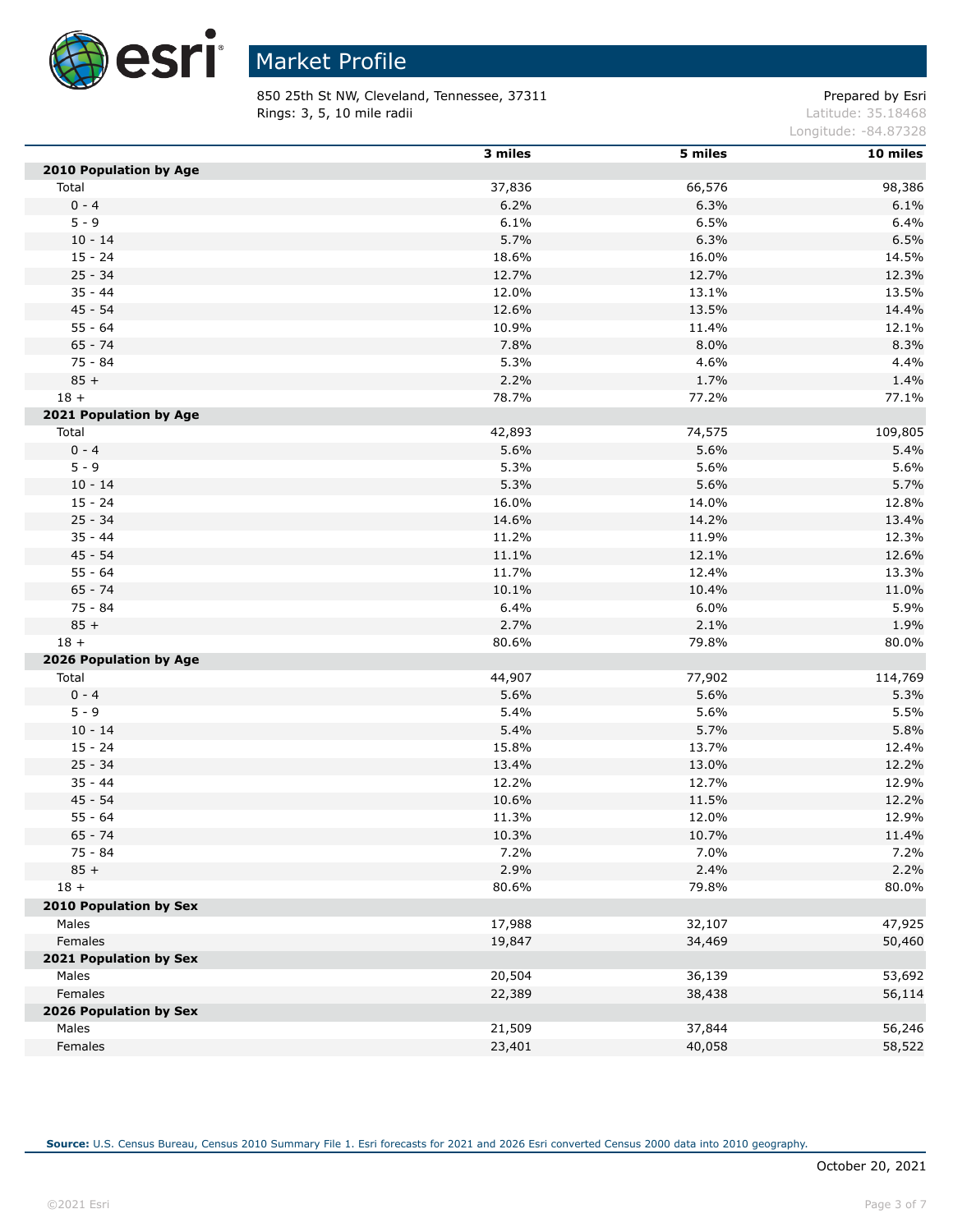

850 25th St NW, Cleveland, Tennessee, 37311 extending the prepared by Esri **Rings: 3, 5, 10 mile radii**  $\blacksquare$  **Rings: 3, 5, 10 mile radii**  $\blacksquare$ 

Longitude: -84.87328

|                        | 3 miles | 5 miles | 10 miles |
|------------------------|---------|---------|----------|
| 2010 Population by Age |         |         |          |
| Total                  | 37,836  | 66,576  | 98,386   |
| $0 - 4$                | 6.2%    | 6.3%    | 6.1%     |
| $5 - 9$                | 6.1%    | 6.5%    | 6.4%     |
| $10 - 14$              | 5.7%    | 6.3%    | 6.5%     |
| $15 - 24$              | 18.6%   | 16.0%   | 14.5%    |
| $25 - 34$              | 12.7%   | 12.7%   | 12.3%    |
| $35 - 44$              | 12.0%   | 13.1%   | 13.5%    |
| $45 - 54$              | 12.6%   | 13.5%   | 14.4%    |
| $55 - 64$              | 10.9%   | 11.4%   | 12.1%    |
| $65 - 74$              | 7.8%    | 8.0%    | 8.3%     |
| $75 - 84$              | 5.3%    | 4.6%    | 4.4%     |
| $85 +$                 | 2.2%    | 1.7%    | 1.4%     |
| $18 +$                 | 78.7%   | 77.2%   | 77.1%    |
| 2021 Population by Age |         |         |          |
| Total                  | 42,893  | 74,575  | 109,805  |
| $0 - 4$                | 5.6%    | 5.6%    | 5.4%     |
| $5 - 9$                | 5.3%    | 5.6%    | 5.6%     |
| $10 - 14$              | 5.3%    | 5.6%    | 5.7%     |
| $15 - 24$              | 16.0%   | 14.0%   | 12.8%    |
| $25 - 34$              | 14.6%   | 14.2%   | 13.4%    |
| $35 - 44$              | 11.2%   | 11.9%   | 12.3%    |
| $45 - 54$              | 11.1%   | 12.1%   | 12.6%    |
| $55 - 64$              | 11.7%   | 12.4%   | 13.3%    |
| $65 - 74$              | 10.1%   | 10.4%   | 11.0%    |
| 75 - 84                | 6.4%    | 6.0%    | 5.9%     |
| $85 +$                 | 2.7%    | 2.1%    | 1.9%     |
| $18 +$                 | 80.6%   | 79.8%   | 80.0%    |
| 2026 Population by Age |         |         |          |
| Total                  | 44,907  | 77,902  | 114,769  |
| $0 - 4$                | 5.6%    | 5.6%    | 5.3%     |
| $5 - 9$                | 5.4%    | 5.6%    | 5.5%     |
| $10 - 14$              | 5.4%    | 5.7%    | 5.8%     |
| $15 - 24$              | 15.8%   | 13.7%   | 12.4%    |
| $25 - 34$              | 13.4%   | 13.0%   | 12.2%    |
| $35 - 44$              | 12.2%   | 12.7%   | 12.9%    |
| $45 - 54$              | 10.6%   | 11.5%   | 12.2%    |
| $55 - 64$              | 11.3%   | 12.0%   | 12.9%    |
| $65 - 74$              | 10.3%   | 10.7%   | 11.4%    |
| 75 - 84                | 7.2%    | 7.0%    | 7.2%     |
| $85 +$                 | 2.9%    | 2.4%    | 2.2%     |
| $18 +$                 | 80.6%   | 79.8%   | 80.0%    |
| 2010 Population by Sex |         |         |          |
| Males                  | 17,988  | 32,107  | 47,925   |
| Females                | 19,847  | 34,469  | 50,460   |
| 2021 Population by Sex |         |         |          |
| Males                  | 20,504  | 36,139  | 53,692   |
| Females                | 22,389  | 38,438  | 56,114   |
| 2026 Population by Sex |         |         |          |
| Males                  | 21,509  | 37,844  | 56,246   |
| Females                | 23,401  | 40,058  | 58,522   |
|                        |         |         |          |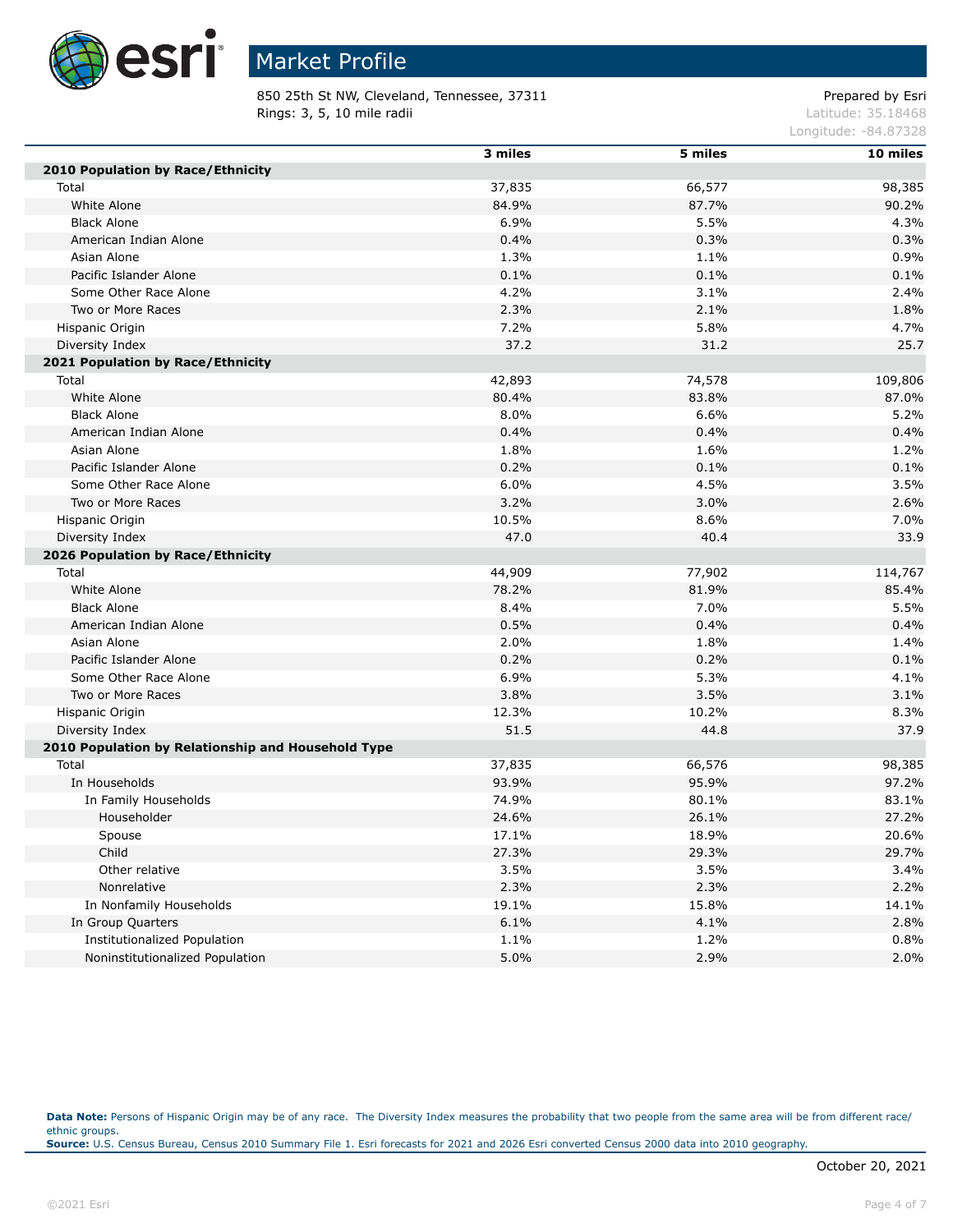

850 25th St NW, Cleveland, Tennessee, 37311 Prepared by Esri **Rings: 3, 5, 10 mile radii**  $\blacksquare$  **Rings: 3, 5, 10 mile radii**  $\blacksquare$ 

Longitude: -84.87328

|                                                    | 3 miles | 5 miles | 10 miles |
|----------------------------------------------------|---------|---------|----------|
| 2010 Population by Race/Ethnicity                  |         |         |          |
| Total                                              | 37,835  | 66,577  | 98,385   |
| White Alone                                        | 84.9%   | 87.7%   | 90.2%    |
| <b>Black Alone</b>                                 | 6.9%    | 5.5%    | 4.3%     |
| American Indian Alone                              | 0.4%    | 0.3%    | 0.3%     |
| Asian Alone                                        | 1.3%    | 1.1%    | 0.9%     |
| Pacific Islander Alone                             | 0.1%    | 0.1%    | 0.1%     |
| Some Other Race Alone                              | 4.2%    | 3.1%    | 2.4%     |
| Two or More Races                                  | 2.3%    | 2.1%    | 1.8%     |
| Hispanic Origin                                    | 7.2%    | 5.8%    | 4.7%     |
| Diversity Index                                    | 37.2    | 31.2    | 25.7     |
| 2021 Population by Race/Ethnicity                  |         |         |          |
| Total                                              | 42,893  | 74,578  | 109,806  |
| White Alone                                        | 80.4%   | 83.8%   | 87.0%    |
| <b>Black Alone</b>                                 | 8.0%    | 6.6%    | 5.2%     |
| American Indian Alone                              | 0.4%    | 0.4%    | 0.4%     |
| Asian Alone                                        | 1.8%    | 1.6%    | 1.2%     |
| Pacific Islander Alone                             | 0.2%    | 0.1%    | 0.1%     |
| Some Other Race Alone                              | 6.0%    | 4.5%    | 3.5%     |
| Two or More Races                                  | 3.2%    | 3.0%    | 2.6%     |
| Hispanic Origin                                    | 10.5%   | 8.6%    | 7.0%     |
| Diversity Index                                    | 47.0    | 40.4    | 33.9     |
| 2026 Population by Race/Ethnicity                  |         |         |          |
| Total                                              | 44,909  | 77,902  | 114,767  |
| White Alone                                        | 78.2%   | 81.9%   | 85.4%    |
| <b>Black Alone</b>                                 | 8.4%    | 7.0%    | 5.5%     |
| American Indian Alone                              | 0.5%    | 0.4%    | 0.4%     |
| Asian Alone                                        | 2.0%    | 1.8%    | 1.4%     |
| Pacific Islander Alone                             | 0.2%    | 0.2%    | 0.1%     |
| Some Other Race Alone                              | 6.9%    | 5.3%    | 4.1%     |
| Two or More Races                                  | 3.8%    | 3.5%    | 3.1%     |
| Hispanic Origin                                    | 12.3%   | 10.2%   | 8.3%     |
| Diversity Index                                    | 51.5    | 44.8    | 37.9     |
| 2010 Population by Relationship and Household Type |         |         |          |
| Total                                              | 37,835  | 66,576  | 98,385   |
| In Households                                      | 93.9%   | 95.9%   | 97.2%    |
| In Family Households                               | 74.9%   | 80.1%   | 83.1%    |
| Householder                                        | 24.6%   | 26.1%   | 27.2%    |
| Spouse                                             | 17.1%   | 18.9%   | 20.6%    |
| Child                                              | 27.3%   | 29.3%   | 29.7%    |
| Other relative                                     | 3.5%    | 3.5%    | 3.4%     |
| Nonrelative                                        | 2.3%    | 2.3%    | 2.2%     |
| In Nonfamily Households                            | 19.1%   | 15.8%   | 14.1%    |
| In Group Quarters                                  | 6.1%    | 4.1%    | 2.8%     |
| Institutionalized Population                       | 1.1%    | 1.2%    | 0.8%     |
| Noninstitutionalized Population                    | 5.0%    | 2.9%    | 2.0%     |

Data Note: Persons of Hispanic Origin may be of any race. The Diversity Index measures the probability that two people from the same area will be from different race/ ethnic groups. **Source:** U.S. Census Bureau, Census 2010 Summary File 1. Esri forecasts for 2021 and 2026 Esri converted Census 2000 data into 2010 geography.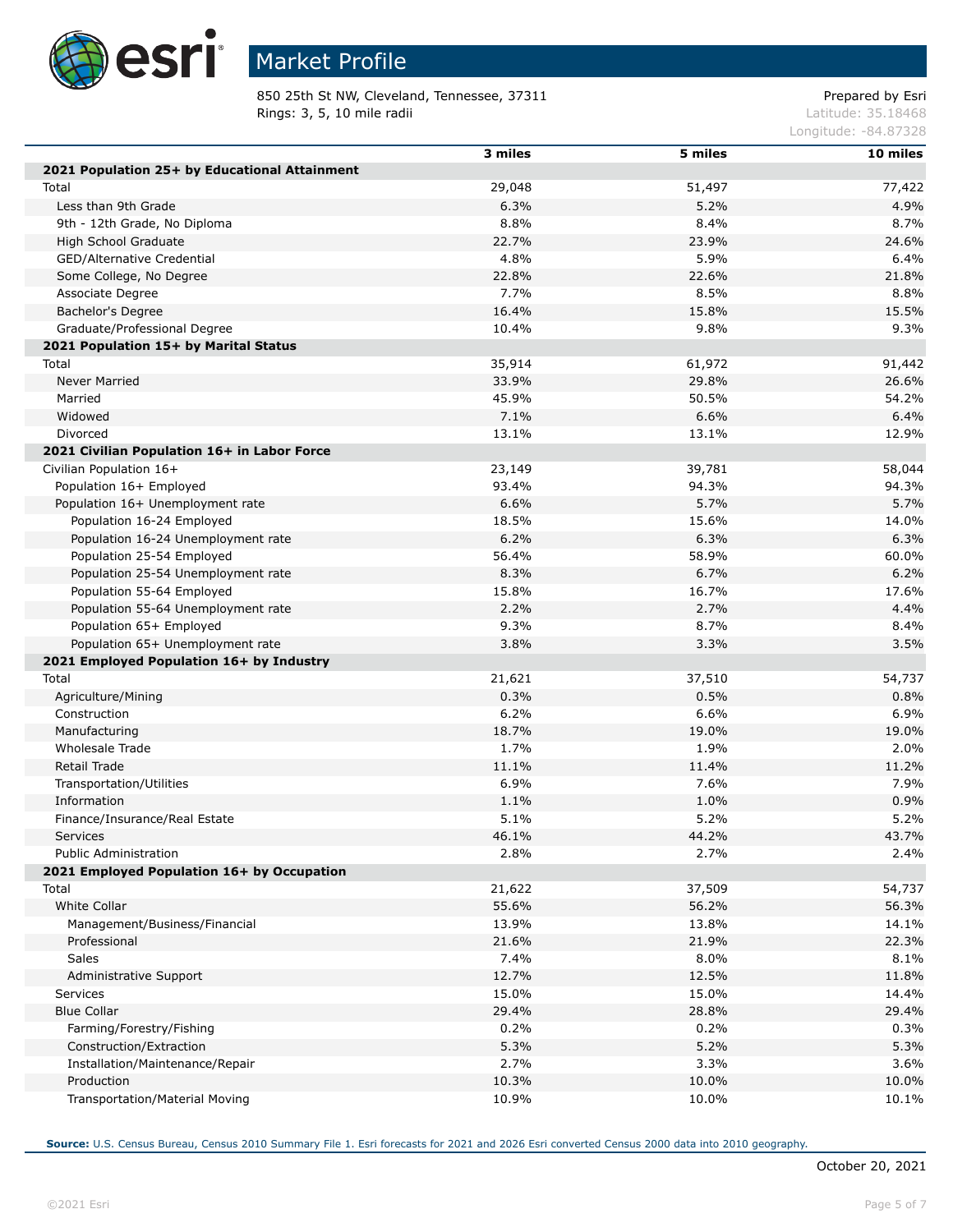

850 25th St NW, Cleveland, Tennessee, 37311 Prepared by Esri<br>Rings: 3, 5, 10 mile radii Prepared by Esri Rings: 3, 5, 10 mile radii

Longitude: -84.87328

|                                               | 3 miles |         | 10 miles |
|-----------------------------------------------|---------|---------|----------|
| 2021 Population 25+ by Educational Attainment |         | 5 miles |          |
| Total                                         | 29,048  | 51,497  | 77,422   |
| Less than 9th Grade                           | 6.3%    | 5.2%    | 4.9%     |
| 9th - 12th Grade, No Diploma                  | 8.8%    | 8.4%    | 8.7%     |
| High School Graduate                          | 22.7%   | 23.9%   | 24.6%    |
|                                               |         |         |          |
| GED/Alternative Credential                    | 4.8%    | 5.9%    | 6.4%     |
| Some College, No Degree                       | 22.8%   | 22.6%   | 21.8%    |
| Associate Degree                              | 7.7%    | 8.5%    | 8.8%     |
| Bachelor's Degree                             | 16.4%   | 15.8%   | 15.5%    |
| Graduate/Professional Degree                  | 10.4%   | 9.8%    | 9.3%     |
| 2021 Population 15+ by Marital Status         |         |         |          |
| Total                                         | 35,914  | 61,972  | 91,442   |
| Never Married                                 | 33.9%   | 29.8%   | 26.6%    |
| Married                                       | 45.9%   | 50.5%   | 54.2%    |
| Widowed                                       | 7.1%    | 6.6%    | 6.4%     |
| Divorced                                      | 13.1%   | 13.1%   | 12.9%    |
| 2021 Civilian Population 16+ in Labor Force   |         |         |          |
| Civilian Population 16+                       | 23,149  | 39,781  | 58,044   |
| Population 16+ Employed                       | 93.4%   | 94.3%   | 94.3%    |
| Population 16+ Unemployment rate              | 6.6%    | 5.7%    | 5.7%     |
| Population 16-24 Employed                     | 18.5%   | 15.6%   | 14.0%    |
| Population 16-24 Unemployment rate            | 6.2%    | 6.3%    | 6.3%     |
| Population 25-54 Employed                     | 56.4%   | 58.9%   | 60.0%    |
| Population 25-54 Unemployment rate            | 8.3%    | 6.7%    | 6.2%     |
| Population 55-64 Employed                     | 15.8%   | 16.7%   | 17.6%    |
| Population 55-64 Unemployment rate            | 2.2%    | 2.7%    | 4.4%     |
| Population 65+ Employed                       | 9.3%    | 8.7%    | 8.4%     |
| Population 65+ Unemployment rate              | 3.8%    | 3.3%    | 3.5%     |
| 2021 Employed Population 16+ by Industry      |         |         |          |
| Total                                         | 21,621  | 37,510  | 54,737   |
| Agriculture/Mining                            | 0.3%    | 0.5%    | 0.8%     |
| Construction                                  | 6.2%    | 6.6%    | 6.9%     |
| Manufacturing                                 | 18.7%   | 19.0%   | 19.0%    |
| Wholesale Trade                               | 1.7%    | 1.9%    | 2.0%     |
| <b>Retail Trade</b>                           | 11.1%   | 11.4%   | 11.2%    |
| Transportation/Utilities                      | 6.9%    | 7.6%    | 7.9%     |
| Information                                   | 1.1%    | 1.0%    | 0.9%     |
| Finance/Insurance/Real Estate                 | 5.1%    | 5.2%    | 5.2%     |
| Services                                      | 46.1%   | 44.2%   | 43.7%    |
| Public Administration                         | 2.8%    | 2.7%    | 2.4%     |
| 2021 Employed Population 16+ by Occupation    |         |         |          |
| Total                                         | 21,622  | 37,509  | 54,737   |
| White Collar                                  | 55.6%   | 56.2%   | 56.3%    |
| Management/Business/Financial                 | 13.9%   | 13.8%   | 14.1%    |
| Professional                                  | 21.6%   | 21.9%   | 22.3%    |
| Sales                                         | 7.4%    | 8.0%    | 8.1%     |
| Administrative Support                        | 12.7%   | 12.5%   | 11.8%    |
| Services                                      | 15.0%   | 15.0%   | 14.4%    |
| <b>Blue Collar</b>                            | 29.4%   | 28.8%   | 29.4%    |
|                                               |         |         |          |
| Farming/Forestry/Fishing                      | 0.2%    | 0.2%    | 0.3%     |
| Construction/Extraction                       | 5.3%    | 5.2%    | 5.3%     |
| Installation/Maintenance/Repair               | 2.7%    | 3.3%    | 3.6%     |
| Production                                    | 10.3%   | 10.0%   | 10.0%    |
| Transportation/Material Moving                | 10.9%   | 10.0%   | 10.1%    |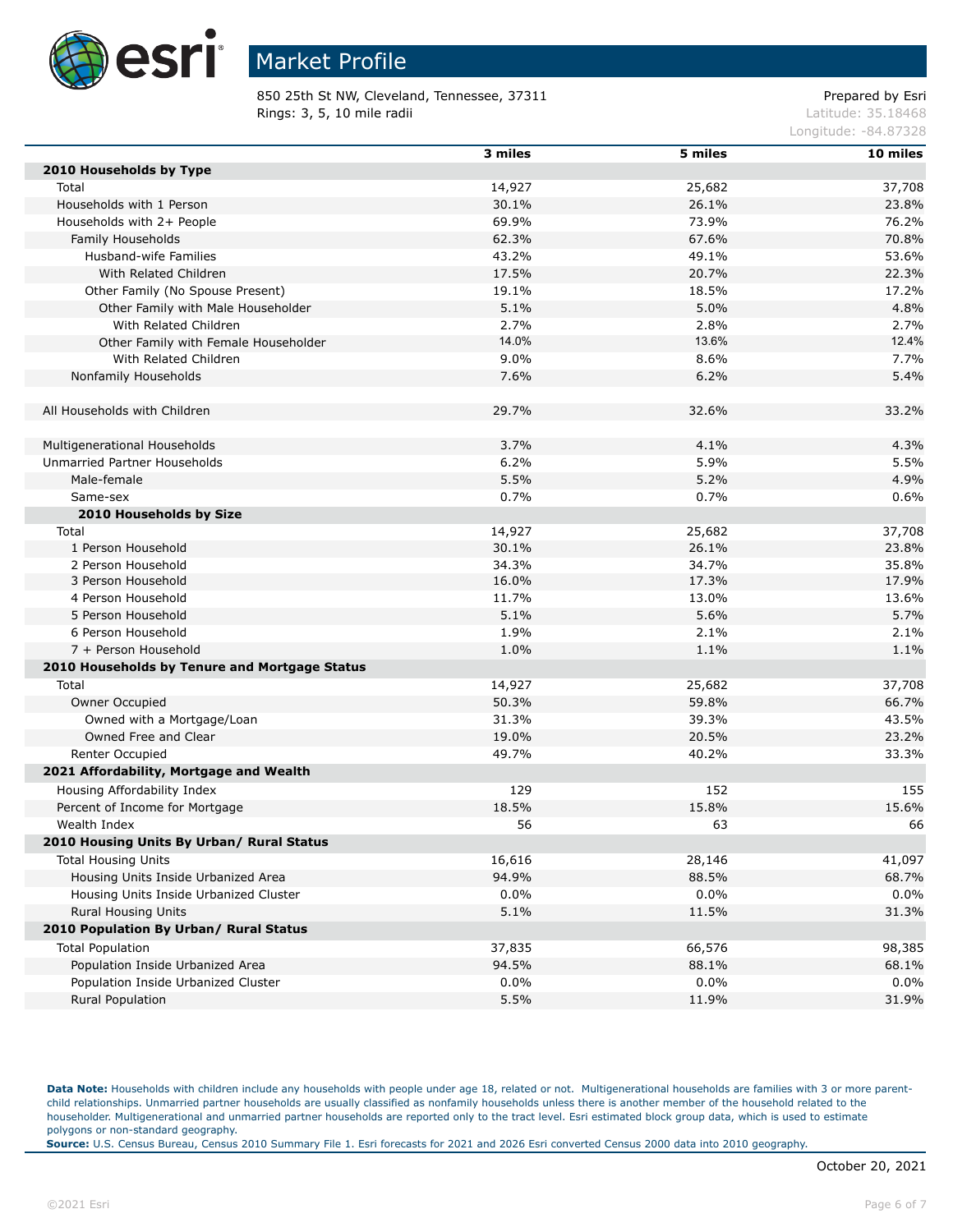

850 25th St NW, Cleveland, Tennessee, 37311 Prepared by Esri **Rings: 3, 5, 10 mile radii**  $\blacksquare$  **Rings: 3, 5, 10 mile radii**  $\blacksquare$ 

Longitude: -84.87328

|                                               | 3 miles | 5 miles | 10 miles |
|-----------------------------------------------|---------|---------|----------|
| 2010 Households by Type                       |         |         |          |
| Total                                         | 14,927  | 25,682  | 37,708   |
| Households with 1 Person                      | 30.1%   | 26.1%   | 23.8%    |
| Households with 2+ People                     | 69.9%   | 73.9%   | 76.2%    |
| Family Households                             | 62.3%   | 67.6%   | 70.8%    |
| Husband-wife Families                         | 43.2%   | 49.1%   | 53.6%    |
| With Related Children                         | 17.5%   | 20.7%   | 22.3%    |
| Other Family (No Spouse Present)              | 19.1%   | 18.5%   | 17.2%    |
| Other Family with Male Householder            | 5.1%    | 5.0%    | 4.8%     |
| With Related Children                         | 2.7%    | 2.8%    | 2.7%     |
| Other Family with Female Householder          | 14.0%   | 13.6%   | 12.4%    |
| With Related Children                         | 9.0%    | 8.6%    | 7.7%     |
| Nonfamily Households                          | 7.6%    | 6.2%    | 5.4%     |
|                                               |         |         |          |
| All Households with Children                  | 29.7%   | 32.6%   | 33.2%    |
|                                               |         |         |          |
| Multigenerational Households                  | 3.7%    | 4.1%    | 4.3%     |
| Unmarried Partner Households                  | 6.2%    | 5.9%    | 5.5%     |
| Male-female                                   | 5.5%    | 5.2%    | 4.9%     |
| Same-sex                                      | 0.7%    | 0.7%    | 0.6%     |
| 2010 Households by Size                       |         |         |          |
| Total                                         | 14,927  | 25,682  | 37,708   |
| 1 Person Household                            | 30.1%   | 26.1%   | 23.8%    |
| 2 Person Household                            | 34.3%   | 34.7%   | 35.8%    |
| 3 Person Household                            | 16.0%   | 17.3%   | 17.9%    |
| 4 Person Household                            | 11.7%   | 13.0%   | 13.6%    |
| 5 Person Household                            | 5.1%    | 5.6%    | 5.7%     |
| 6 Person Household                            | 1.9%    | 2.1%    | 2.1%     |
| 7 + Person Household                          | 1.0%    | 1.1%    | 1.1%     |
| 2010 Households by Tenure and Mortgage Status |         |         |          |
| Total                                         | 14,927  | 25,682  | 37,708   |
| Owner Occupied                                | 50.3%   | 59.8%   | 66.7%    |
| Owned with a Mortgage/Loan                    | 31.3%   | 39.3%   | 43.5%    |
| Owned Free and Clear                          | 19.0%   | 20.5%   | 23.2%    |
| Renter Occupied                               | 49.7%   | 40.2%   | 33.3%    |
| 2021 Affordability, Mortgage and Wealth       |         |         |          |
| Housing Affordability Index                   | 129     | 152     | 155      |
| Percent of Income for Mortgage                | 18.5%   | 15.8%   | 15.6%    |
| Wealth Index                                  | 56      | 63      | 66       |
| 2010 Housing Units By Urban/ Rural Status     |         |         |          |
| <b>Total Housing Units</b>                    | 16,616  | 28,146  | 41,097   |
| Housing Units Inside Urbanized Area           | 94.9%   | 88.5%   | 68.7%    |
| Housing Units Inside Urbanized Cluster        | 0.0%    | 0.0%    | 0.0%     |
| Rural Housing Units                           | 5.1%    | 11.5%   | 31.3%    |
| 2010 Population By Urban/ Rural Status        |         |         |          |
| <b>Total Population</b>                       | 37,835  | 66,576  | 98,385   |
| Population Inside Urbanized Area              | 94.5%   | 88.1%   | 68.1%    |
| Population Inside Urbanized Cluster           | 0.0%    | $0.0\%$ | 0.0%     |
| Rural Population                              | 5.5%    | 11.9%   | 31.9%    |

Data Note: Households with children include any households with people under age 18, related or not. Multigenerational households are families with 3 or more parentchild relationships. Unmarried partner households are usually classified as nonfamily households unless there is another member of the household related to the householder. Multigenerational and unmarried partner households are reported only to the tract level. Esri estimated block group data, which is used to estimate polygons or non-standard geography.